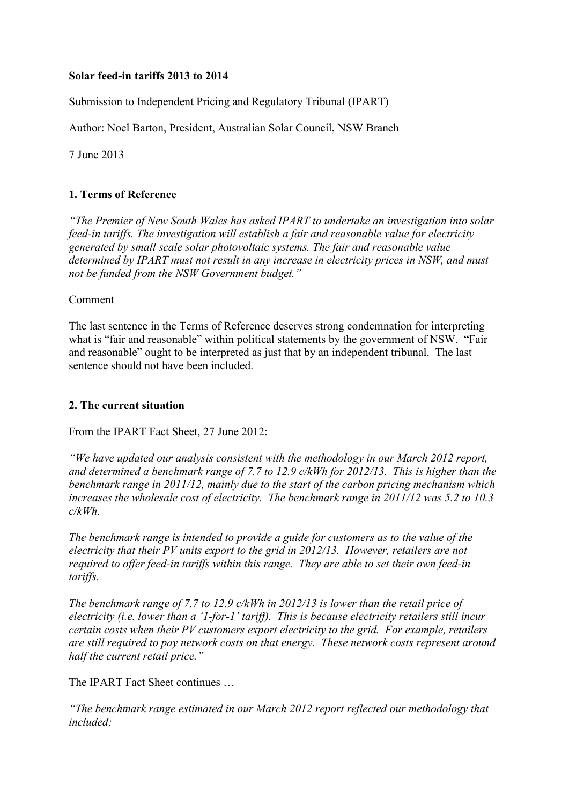### **Solar feed-in tariffs 2013 to 2014**

Submission to Independent Pricing and Regulatory Tribunal (IPART)

Author: Noel Barton, President, Australian Solar Council, NSW Branch

7 June 2013

### **1. Terms of Reference**

*"The Premier of New South Wales has asked IPART to undertake an investigation into solar feed-in tariffs. The investigation will establish a fair and reasonable value for electricity generated by small scale solar photovoltaic systems. The fair and reasonable value determined by IPART must not result in any increase in electricity prices in NSW, and must not be funded from the NSW Government budget."* 

### Comment

The last sentence in the Terms of Reference deserves strong condemnation for interpreting what is "fair and reasonable" within political statements by the government of NSW. "Fair and reasonable" ought to be interpreted as just that by an independent tribunal. The last sentence should not have been included.

### **2. The current situation**

From the IPART Fact Sheet, 27 June 2012:

*"We have updated our analysis consistent with the methodology in our March 2012 report, and determined a benchmark range of 7.7 to 12.9 c/kWh for 2012/13. This is higher than the benchmark range in 2011/12, mainly due to the start of the carbon pricing mechanism which increases the wholesale cost of electricity. The benchmark range in 2011/12 was 5.2 to 10.3 c/kWh.* 

*The benchmark range is intended to provide a guide for customers as to the value of the electricity that their PV units export to the grid in 2012/13. However, retailers are not required to offer feed-in tariffs within this range. They are able to set their own feed-in tariffs.* 

*The benchmark range of 7.7 to 12.9 c/kWh in 2012/13 is lower than the retail price of electricity (i.e. lower than a '1-for-1' tariff). This is because electricity retailers still incur certain costs when their PV customers export electricity to the grid. For example, retailers are still required to pay network costs on that energy. These network costs represent around half the current retail price."* 

The IPART Fact Sheet continues …

*"The benchmark range estimated in our March 2012 report reflected our methodology that included:*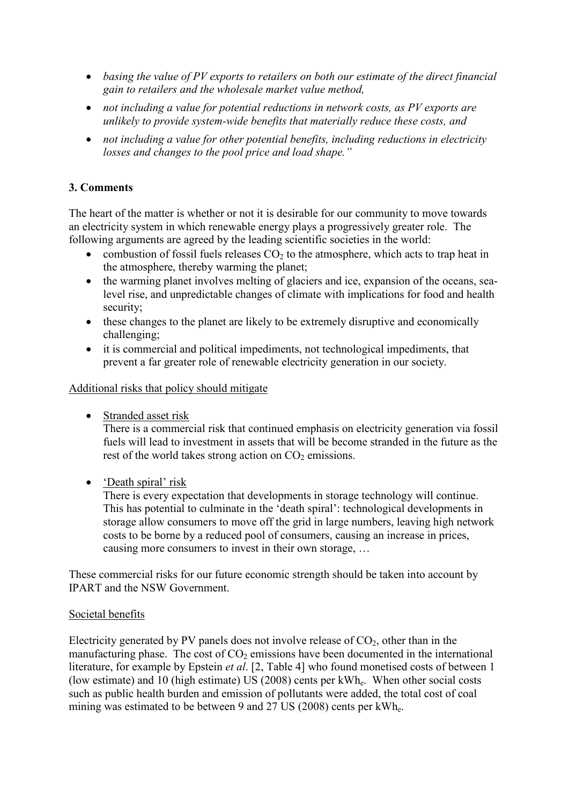- *basing the value of PV exports to retailers on both our estimate of the direct financial gain to retailers and the wholesale market value method,*
- *not including a value for potential reductions in network costs, as PV exports are unlikely to provide system-wide benefits that materially reduce these costs, and*
- *not including a value for other potential benefits, including reductions in electricity losses and changes to the pool price and load shape."*

## **3. Comments**

The heart of the matter is whether or not it is desirable for our community to move towards an electricity system in which renewable energy plays a progressively greater role. The following arguments are agreed by the leading scientific societies in the world:

- combustion of fossil fuels releases  $CO<sub>2</sub>$  to the atmosphere, which acts to trap heat in the atmosphere, thereby warming the planet;
- the warming planet involves melting of glaciers and ice, expansion of the oceans, sealevel rise, and unpredictable changes of climate with implications for food and health security;
- these changes to the planet are likely to be extremely disruptive and economically challenging;
- it is commercial and political impediments, not technological impediments, that prevent a far greater role of renewable electricity generation in our society.

Additional risks that policy should mitigate

• Stranded asset risk

There is a commercial risk that continued emphasis on electricity generation via fossil fuels will lead to investment in assets that will be become stranded in the future as the rest of the world takes strong action on  $CO<sub>2</sub>$  emissions.

• 'Death spiral' risk

There is every expectation that developments in storage technology will continue. This has potential to culminate in the 'death spiral': technological developments in storage allow consumers to move off the grid in large numbers, leaving high network costs to be borne by a reduced pool of consumers, causing an increase in prices, causing more consumers to invest in their own storage, …

These commercial risks for our future economic strength should be taken into account by IPART and the NSW Government.

### Societal benefits

Electricity generated by PV panels does not involve release of  $CO<sub>2</sub>$ , other than in the manufacturing phase. The cost of  $CO<sub>2</sub>$  emissions have been documented in the international literature, for example by Epstein *et al*. [2, Table 4] who found monetised costs of between 1 (low estimate) and 10 (high estimate) US (2008) cents per kWhe. When other social costs such as public health burden and emission of pollutants were added, the total cost of coal mining was estimated to be between 9 and 27 US (2008) cents per kWhe.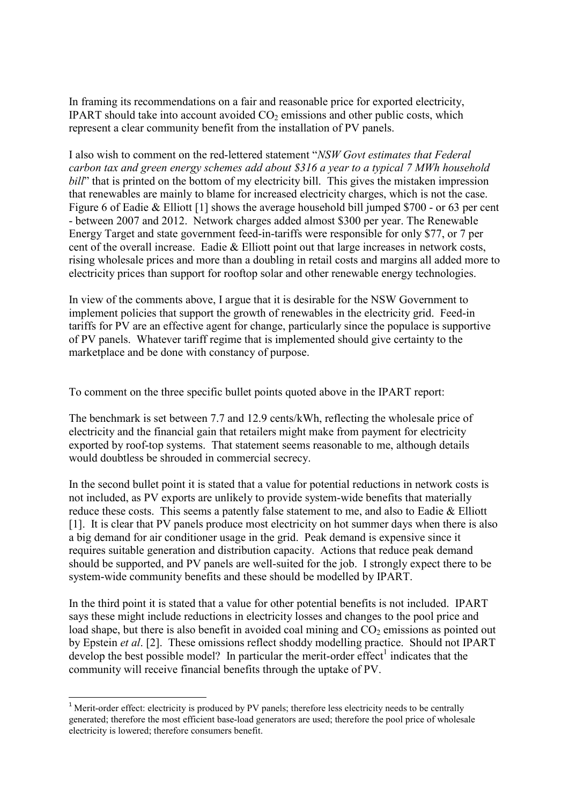In framing its recommendations on a fair and reasonable price for exported electricity, IPART should take into account avoided  $CO<sub>2</sub>$  emissions and other public costs, which represent a clear community benefit from the installation of PV panels.

I also wish to comment on the red-lettered statement "*NSW Govt estimates that Federal carbon tax and green energy schemes add about \$316 a year to a typical 7 MWh household bill*" that is printed on the bottom of my electricity bill. This gives the mistaken impression that renewables are mainly to blame for increased electricity charges, which is not the case. Figure 6 of Eadie & Elliott [1] shows the average household bill jumped \$700 - or 63 per cent - between 2007 and 2012. Network charges added almost \$300 per year. The Renewable Energy Target and state government feed-in-tariffs were responsible for only \$77, or 7 per cent of the overall increase. Eadie  $&$  Elliott point out that large increases in network costs, rising wholesale prices and more than a doubling in retail costs and margins all added more to electricity prices than support for rooftop solar and other renewable energy technologies.

In view of the comments above, I argue that it is desirable for the NSW Government to implement policies that support the growth of renewables in the electricity grid. Feed-in tariffs for PV are an effective agent for change, particularly since the populace is supportive of PV panels. Whatever tariff regime that is implemented should give certainty to the marketplace and be done with constancy of purpose.

To comment on the three specific bullet points quoted above in the IPART report:

The benchmark is set between 7.7 and 12.9 cents/kWh, reflecting the wholesale price of electricity and the financial gain that retailers might make from payment for electricity exported by roof-top systems. That statement seems reasonable to me, although details would doubtless be shrouded in commercial secrecy.

In the second bullet point it is stated that a value for potential reductions in network costs is not included, as PV exports are unlikely to provide system-wide benefits that materially reduce these costs. This seems a patently false statement to me, and also to Eadie & Elliott [1]. It is clear that PV panels produce most electricity on hot summer days when there is also a big demand for air conditioner usage in the grid. Peak demand is expensive since it requires suitable generation and distribution capacity. Actions that reduce peak demand should be supported, and PV panels are well-suited for the job. I strongly expect there to be system-wide community benefits and these should be modelled by IPART.

In the third point it is stated that a value for other potential benefits is not included. IPART says these might include reductions in electricity losses and changes to the pool price and load shape, but there is also benefit in avoided coal mining and  $CO<sub>2</sub>$  emissions as pointed out by Epstein *et al*. [2]. These omissions reflect shoddy modelling practice. Should not IPART develop the best possible model? In particular the merit-order effect<sup>1</sup> indicates that the community will receive financial benefits through the uptake of PV.

 $\overline{a}$ 

 $<sup>1</sup>$  Merit-order effect: electricity is produced by PV panels; therefore less electricity needs to be centrally</sup> generated; therefore the most efficient base-load generators are used; therefore the pool price of wholesale electricity is lowered; therefore consumers benefit.